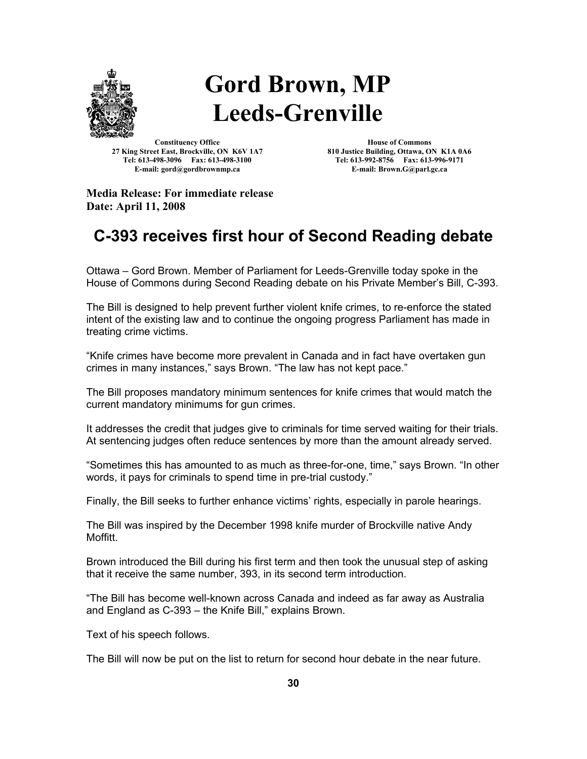

## **Gord Brown, MP Leeds-Grenville**

**Constituency Office 27 King Street East, Brockville, ON K6V 1A7 Tel: 613-498-3096 Fax: 613-498-3100 E-mail: gord@gordbrownmp.ca**

**House of Commons 810 Justice Building, Ottawa, ON K1A 0A6 Tel: 613-992-8756 Fax: 613-996-9171 E-mail: Brown.G@parl.gc.ca**

**Media Release: For immediate release Date: April 11, 2008**

## **C-393 receives first hour of Second Reading debate**

Ottawa – Gord Brown. Member of Parliament for Leeds-Grenville today spoke in the House of Commons during Second Reading debate on his Private Member's Bill, C-393.

The Bill is designed to help prevent further violent knife crimes, to re-enforce the stated intent of the existing law and to continue the ongoing progress Parliament has made in treating crime victims.

"Knife crimes have become more prevalent in Canada and in fact have overtaken gun crimes in many instances," says Brown. "The law has not kept pace."

The Bill proposes mandatory minimum sentences for knife crimes that would match the current mandatory minimums for gun crimes.

It addresses the credit that judges give to criminals for time served waiting for their trials. At sentencing judges often reduce sentences by more than the amount already served.

"Sometimes this has amounted to as much as three-for-one, time," says Brown. "In other words, it pays for criminals to spend time in pre-trial custody."

Finally, the Bill seeks to further enhance victims' rights, especially in parole hearings.

The Bill was inspired by the December 1998 knife murder of Brockville native Andy Moffitt.

Brown introduced the Bill during his first term and then took the unusual step of asking that it receive the same number, 393, in its second term introduction.

"The Bill has become well-known across Canada and indeed as far away as Australia and England as C-393 – the Knife Bill," explains Brown.

Text of his speech follows.

The Bill will now be put on the list to return for second hour debate in the near future.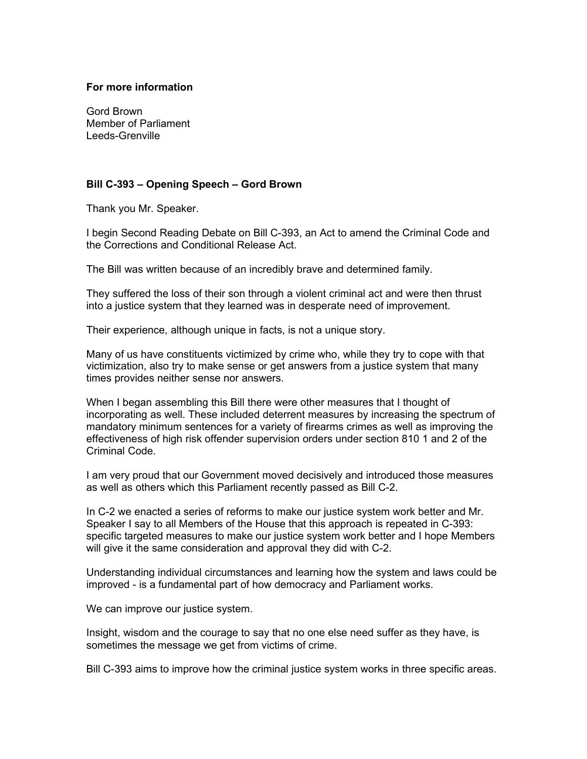## **For more information**

Gord Brown Member of Parliament Leeds-Grenville

## **Bill C-393 – Opening Speech – Gord Brown**

Thank you Mr. Speaker.

I begin Second Reading Debate on Bill C-393, an Act to amend the Criminal Code and the Corrections and Conditional Release Act.

The Bill was written because of an incredibly brave and determined family.

They suffered the loss of their son through a violent criminal act and were then thrust into a justice system that they learned was in desperate need of improvement.

Their experience, although unique in facts, is not a unique story.

Many of us have constituents victimized by crime who, while they try to cope with that victimization, also try to make sense or get answers from a justice system that many times provides neither sense nor answers.

When I began assembling this Bill there were other measures that I thought of incorporating as well. These included deterrent measures by increasing the spectrum of mandatory minimum sentences for a variety of firearms crimes as well as improving the effectiveness of high risk offender supervision orders under section 810 1 and 2 of the Criminal Code.

I am very proud that our Government moved decisively and introduced those measures as well as others which this Parliament recently passed as Bill C-2.

In C-2 we enacted a series of reforms to make our justice system work better and Mr. Speaker I say to all Members of the House that this approach is repeated in C-393: specific targeted measures to make our justice system work better and I hope Members will give it the same consideration and approval they did with C-2.

Understanding individual circumstances and learning how the system and laws could be improved - is a fundamental part of how democracy and Parliament works.

We can improve our justice system.

Insight, wisdom and the courage to say that no one else need suffer as they have, is sometimes the message we get from victims of crime.

Bill C-393 aims to improve how the criminal justice system works in three specific areas.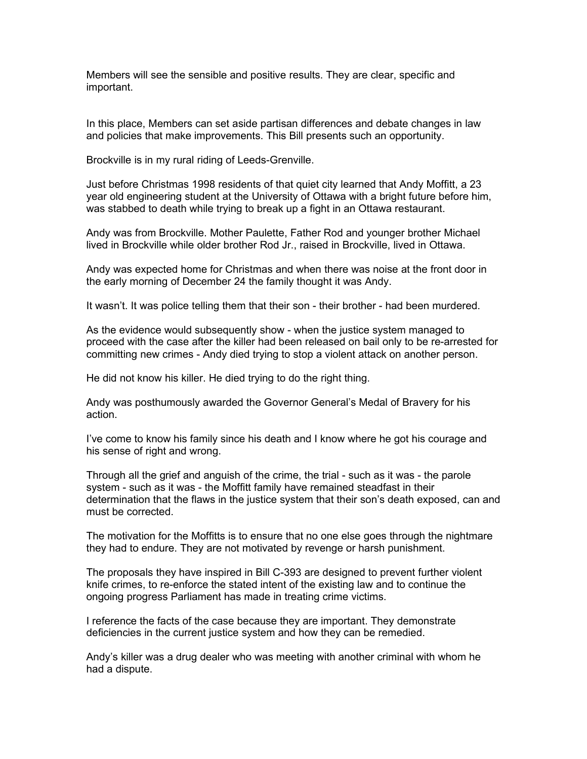Members will see the sensible and positive results. They are clear, specific and important.

In this place, Members can set aside partisan differences and debate changes in law and policies that make improvements. This Bill presents such an opportunity.

Brockville is in my rural riding of Leeds-Grenville.

Just before Christmas 1998 residents of that quiet city learned that Andy Moffitt, a 23 year old engineering student at the University of Ottawa with a bright future before him, was stabbed to death while trying to break up a fight in an Ottawa restaurant.

Andy was from Brockville. Mother Paulette, Father Rod and younger brother Michael lived in Brockville while older brother Rod Jr., raised in Brockville, lived in Ottawa.

Andy was expected home for Christmas and when there was noise at the front door in the early morning of December 24 the family thought it was Andy.

It wasn't. It was police telling them that their son - their brother - had been murdered.

As the evidence would subsequently show - when the justice system managed to proceed with the case after the killer had been released on bail only to be re-arrested for committing new crimes - Andy died trying to stop a violent attack on another person.

He did not know his killer. He died trying to do the right thing.

Andy was posthumously awarded the Governor General's Medal of Bravery for his action.

I've come to know his family since his death and I know where he got his courage and his sense of right and wrong.

Through all the grief and anguish of the crime, the trial - such as it was - the parole system - such as it was - the Moffitt family have remained steadfast in their determination that the flaws in the justice system that their son's death exposed, can and must be corrected.

The motivation for the Moffitts is to ensure that no one else goes through the nightmare they had to endure. They are not motivated by revenge or harsh punishment.

The proposals they have inspired in Bill C-393 are designed to prevent further violent knife crimes, to re-enforce the stated intent of the existing law and to continue the ongoing progress Parliament has made in treating crime victims.

I reference the facts of the case because they are important. They demonstrate deficiencies in the current justice system and how they can be remedied.

Andy's killer was a drug dealer who was meeting with another criminal with whom he had a dispute.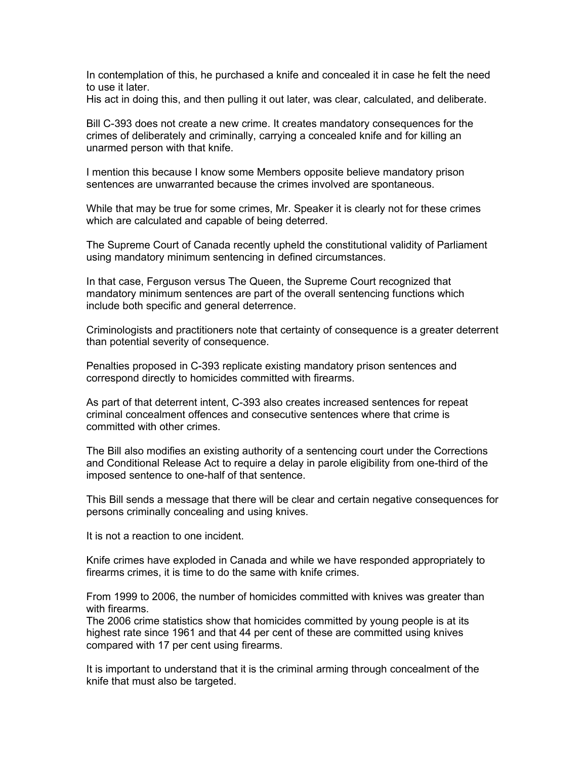In contemplation of this, he purchased a knife and concealed it in case he felt the need to use it later.

His act in doing this, and then pulling it out later, was clear, calculated, and deliberate.

Bill C-393 does not create a new crime. It creates mandatory consequences for the crimes of deliberately and criminally, carrying a concealed knife and for killing an unarmed person with that knife.

I mention this because I know some Members opposite believe mandatory prison sentences are unwarranted because the crimes involved are spontaneous.

While that may be true for some crimes, Mr. Speaker it is clearly not for these crimes which are calculated and capable of being deterred.

The Supreme Court of Canada recently upheld the constitutional validity of Parliament using mandatory minimum sentencing in defined circumstances.

In that case, Ferguson versus The Queen, the Supreme Court recognized that mandatory minimum sentences are part of the overall sentencing functions which include both specific and general deterrence.

Criminologists and practitioners note that certainty of consequence is a greater deterrent than potential severity of consequence.

Penalties proposed in C-393 replicate existing mandatory prison sentences and correspond directly to homicides committed with firearms.

As part of that deterrent intent, C-393 also creates increased sentences for repeat criminal concealment offences and consecutive sentences where that crime is committed with other crimes.

The Bill also modifies an existing authority of a sentencing court under the Corrections and Conditional Release Act to require a delay in parole eligibility from one-third of the imposed sentence to one-half of that sentence.

This Bill sends a message that there will be clear and certain negative consequences for persons criminally concealing and using knives.

It is not a reaction to one incident.

Knife crimes have exploded in Canada and while we have responded appropriately to firearms crimes, it is time to do the same with knife crimes.

From 1999 to 2006, the number of homicides committed with knives was greater than with firearms.

The 2006 crime statistics show that homicides committed by young people is at its highest rate since 1961 and that 44 per cent of these are committed using knives compared with 17 per cent using firearms.

It is important to understand that it is the criminal arming through concealment of the knife that must also be targeted.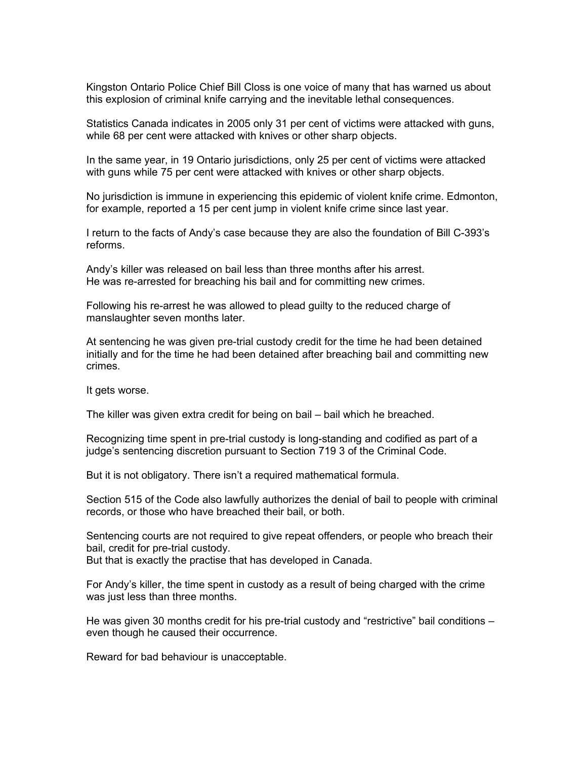Kingston Ontario Police Chief Bill Closs is one voice of many that has warned us about this explosion of criminal knife carrying and the inevitable lethal consequences.

Statistics Canada indicates in 2005 only 31 per cent of victims were attacked with guns, while 68 per cent were attacked with knives or other sharp objects.

In the same year, in 19 Ontario jurisdictions, only 25 per cent of victims were attacked with guns while 75 per cent were attacked with knives or other sharp objects.

No jurisdiction is immune in experiencing this epidemic of violent knife crime. Edmonton, for example, reported a 15 per cent jump in violent knife crime since last year.

I return to the facts of Andy's case because they are also the foundation of Bill C-393's reforms.

Andy's killer was released on bail less than three months after his arrest. He was re-arrested for breaching his bail and for committing new crimes.

Following his re-arrest he was allowed to plead guilty to the reduced charge of manslaughter seven months later.

At sentencing he was given pre-trial custody credit for the time he had been detained initially and for the time he had been detained after breaching bail and committing new crimes.

It gets worse.

The killer was given extra credit for being on bail – bail which he breached.

Recognizing time spent in pre-trial custody is long-standing and codified as part of a judge's sentencing discretion pursuant to Section 719 3 of the Criminal Code.

But it is not obligatory. There isn't a required mathematical formula.

Section 515 of the Code also lawfully authorizes the denial of bail to people with criminal records, or those who have breached their bail, or both.

Sentencing courts are not required to give repeat offenders, or people who breach their bail, credit for pre-trial custody. But that is exactly the practise that has developed in Canada.

For Andy's killer, the time spent in custody as a result of being charged with the crime

He was given 30 months credit for his pre-trial custody and "restrictive" bail conditions – even though he caused their occurrence.

Reward for bad behaviour is unacceptable.

was just less than three months.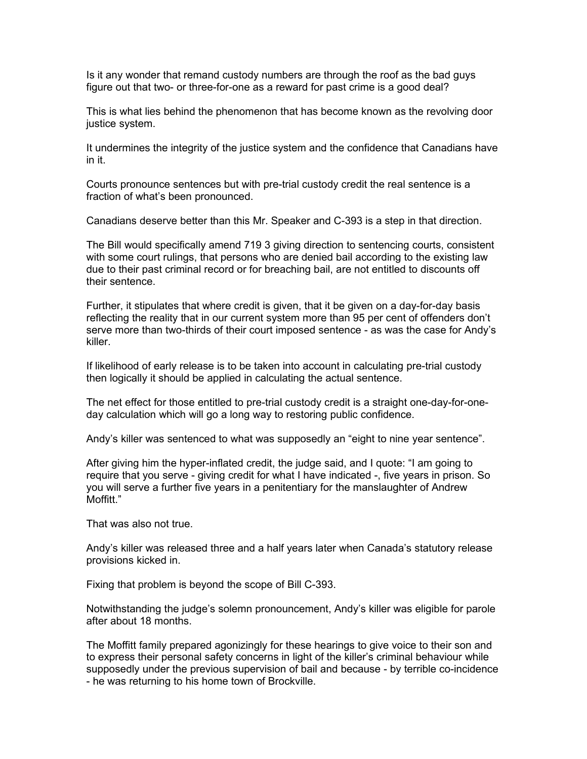Is it any wonder that remand custody numbers are through the roof as the bad guys figure out that two- or three-for-one as a reward for past crime is a good deal?

This is what lies behind the phenomenon that has become known as the revolving door justice system.

It undermines the integrity of the justice system and the confidence that Canadians have in it.

Courts pronounce sentences but with pre-trial custody credit the real sentence is a fraction of what's been pronounced.

Canadians deserve better than this Mr. Speaker and C-393 is a step in that direction.

The Bill would specifically amend 719 3 giving direction to sentencing courts, consistent with some court rulings, that persons who are denied bail according to the existing law due to their past criminal record or for breaching bail, are not entitled to discounts off their sentence.

Further, it stipulates that where credit is given, that it be given on a day-for-day basis reflecting the reality that in our current system more than 95 per cent of offenders don't serve more than two-thirds of their court imposed sentence - as was the case for Andy's killer.

If likelihood of early release is to be taken into account in calculating pre-trial custody then logically it should be applied in calculating the actual sentence.

The net effect for those entitled to pre-trial custody credit is a straight one-day-for-oneday calculation which will go a long way to restoring public confidence.

Andy's killer was sentenced to what was supposedly an "eight to nine year sentence".

After giving him the hyper-inflated credit, the judge said, and I quote: "I am going to require that you serve - giving credit for what I have indicated -, five years in prison. So you will serve a further five years in a penitentiary for the manslaughter of Andrew Moffitt."

That was also not true.

Andy's killer was released three and a half years later when Canada's statutory release provisions kicked in.

Fixing that problem is beyond the scope of Bill C-393.

Notwithstanding the judge's solemn pronouncement, Andy's killer was eligible for parole after about 18 months.

The Moffitt family prepared agonizingly for these hearings to give voice to their son and to express their personal safety concerns in light of the killer's criminal behaviour while supposedly under the previous supervision of bail and because - by terrible co-incidence - he was returning to his home town of Brockville.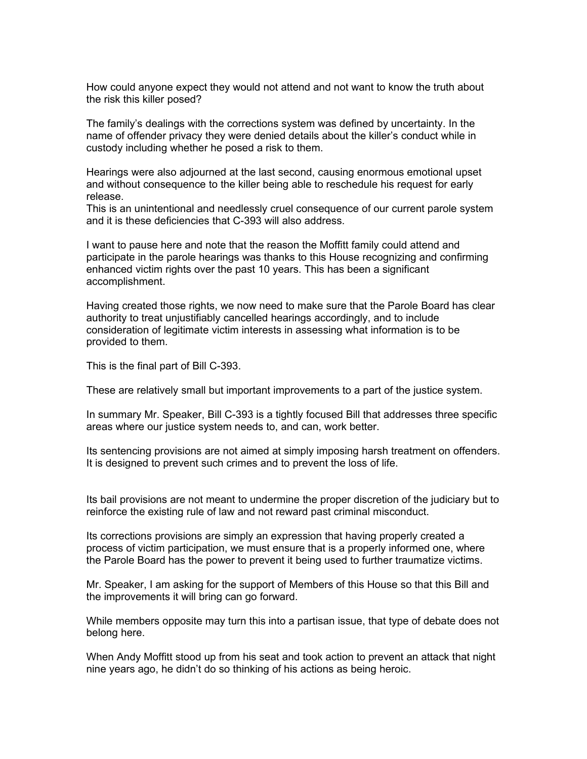How could anyone expect they would not attend and not want to know the truth about the risk this killer posed?

The family's dealings with the corrections system was defined by uncertainty. In the name of offender privacy they were denied details about the killer's conduct while in custody including whether he posed a risk to them.

Hearings were also adjourned at the last second, causing enormous emotional upset and without consequence to the killer being able to reschedule his request for early release.

This is an unintentional and needlessly cruel consequence of our current parole system and it is these deficiencies that C-393 will also address.

I want to pause here and note that the reason the Moffitt family could attend and participate in the parole hearings was thanks to this House recognizing and confirming enhanced victim rights over the past 10 years. This has been a significant accomplishment.

Having created those rights, we now need to make sure that the Parole Board has clear authority to treat unjustifiably cancelled hearings accordingly, and to include consideration of legitimate victim interests in assessing what information is to be provided to them.

This is the final part of Bill C-393.

These are relatively small but important improvements to a part of the justice system.

In summary Mr. Speaker, Bill C-393 is a tightly focused Bill that addresses three specific areas where our justice system needs to, and can, work better.

Its sentencing provisions are not aimed at simply imposing harsh treatment on offenders. It is designed to prevent such crimes and to prevent the loss of life.

Its bail provisions are not meant to undermine the proper discretion of the judiciary but to reinforce the existing rule of law and not reward past criminal misconduct.

Its corrections provisions are simply an expression that having properly created a process of victim participation, we must ensure that is a properly informed one, where the Parole Board has the power to prevent it being used to further traumatize victims.

Mr. Speaker, I am asking for the support of Members of this House so that this Bill and the improvements it will bring can go forward.

While members opposite may turn this into a partisan issue, that type of debate does not belong here.

When Andy Moffitt stood up from his seat and took action to prevent an attack that night nine years ago, he didn't do so thinking of his actions as being heroic.